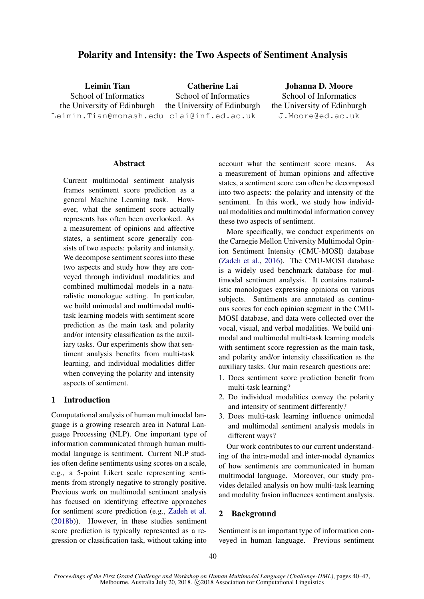# Polarity and Intensity: the Two Aspects of Sentiment Analysis

Leimin Tian School of Informatics the University of Edinburgh Leimin.Tian@monash.edu clai@inf.ed.ac.uk Catherine Lai School of Informatics the University of Edinburgh

Johanna D. Moore School of Informatics the University of Edinburgh J.Moore@ed.ac.uk

# **Abstract**

Current multimodal sentiment analysis frames sentiment score prediction as a general Machine Learning task. However, what the sentiment score actually represents has often been overlooked. As a measurement of opinions and affective states, a sentiment score generally consists of two aspects: polarity and intensity. We decompose sentiment scores into these two aspects and study how they are conveyed through individual modalities and combined multimodal models in a naturalistic monologue setting. In particular, we build unimodal and multimodal multitask learning models with sentiment score prediction as the main task and polarity and/or intensity classification as the auxiliary tasks. Our experiments show that sentiment analysis benefits from multi-task learning, and individual modalities differ when conveying the polarity and intensity aspects of sentiment.

# 1 Introduction

Computational analysis of human multimodal language is a growing research area in Natural Language Processing (NLP). One important type of information communicated through human multimodal language is sentiment. Current NLP studies often define sentiments using scores on a scale, e.g., a 5-point Likert scale representing sentiments from strongly negative to strongly positive. Previous work on multimodal sentiment analysis has focused on identifying effective approaches for sentiment score prediction (e.g., [Zadeh et al.](#page-7-0) [\(2018b\)](#page-7-0)). However, in these studies sentiment score prediction is typically represented as a regression or classification task, without taking into account what the sentiment score means. As a measurement of human opinions and affective states, a sentiment score can often be decomposed into two aspects: the polarity and intensity of the sentiment. In this work, we study how individual modalities and multimodal information convey these two aspects of sentiment.

More specifically, we conduct experiments on the Carnegie Mellon University Multimodal Opinion Sentiment Intensity (CMU-MOSI) database [\(Zadeh et al.,](#page-7-1) [2016\)](#page-7-1). The CMU-MOSI database is a widely used benchmark database for multimodal sentiment analysis. It contains naturalistic monologues expressing opinions on various subjects. Sentiments are annotated as continuous scores for each opinion segment in the CMU-MOSI database, and data were collected over the vocal, visual, and verbal modalities. We build unimodal and multimodal multi-task learning models with sentiment score regression as the main task, and polarity and/or intensity classification as the auxiliary tasks. Our main research questions are:

- 1. Does sentiment score prediction benefit from multi-task learning?
- 2. Do individual modalities convey the polarity and intensity of sentiment differently?
- 3. Does multi-task learning influence unimodal and multimodal sentiment analysis models in different ways?

Our work contributes to our current understanding of the intra-modal and inter-modal dynamics of how sentiments are communicated in human multimodal language. Moreover, our study provides detailed analysis on how multi-task learning and modality fusion influences sentiment analysis.

# 2 Background

Sentiment is an important type of information conveyed in human language. Previous sentiment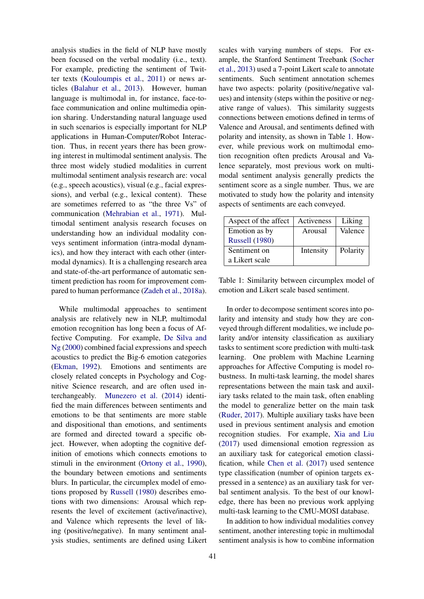analysis studies in the field of NLP have mostly been focused on the verbal modality (i.e., text). For example, predicting the sentiment of Twitter texts [\(Kouloumpis et al.,](#page-7-2) [2011\)](#page-7-2) or news articles [\(Balahur et al.,](#page-7-3) [2013\)](#page-7-3). However, human language is multimodal in, for instance, face-toface communication and online multimedia opinion sharing. Understanding natural language used in such scenarios is especially important for NLP applications in Human-Computer/Robot Interaction. Thus, in recent years there has been growing interest in multimodal sentiment analysis. The three most widely studied modalities in current multimodal sentiment analysis research are: vocal (e.g., speech acoustics), visual (e.g., facial expressions), and verbal (e.g., lexical content). These are sometimes referred to as "the three Vs" of communication [\(Mehrabian et al.,](#page-7-4) [1971\)](#page-7-4). Multimodal sentiment analysis research focuses on understanding how an individual modality conveys sentiment information (intra-modal dynamics), and how they interact with each other (intermodal dynamics). It is a challenging research area and state-of-the-art performance of automatic sentiment prediction has room for improvement compared to human performance [\(Zadeh et al.,](#page-7-5) [2018a\)](#page-7-5).

While multimodal approaches to sentiment analysis are relatively new in NLP, multimodal emotion recognition has long been a focus of Affective Computing. For example, [De Silva and](#page-7-6) [Ng](#page-7-6) [\(2000\)](#page-7-6) combined facial expressions and speech acoustics to predict the Big-6 emotion categories [\(Ekman,](#page-7-7) [1992\)](#page-7-7). Emotions and sentiments are closely related concepts in Psychology and Cognitive Science research, and are often used interchangeably. [Munezero et al.](#page-7-8) [\(2014\)](#page-7-8) identified the main differences between sentiments and emotions to be that sentiments are more stable and dispositional than emotions, and sentiments are formed and directed toward a specific object. However, when adopting the cognitive definition of emotions which connects emotions to stimuli in the environment [\(Ortony et al.,](#page-7-9) [1990\)](#page-7-9), the boundary between emotions and sentiments blurs. In particular, the circumplex model of emotions proposed by [Russell](#page-7-10) [\(1980\)](#page-7-10) describes emotions with two dimensions: Arousal which represents the level of excitement (active/inactive), and Valence which represents the level of liking (positive/negative). In many sentiment analysis studies, sentiments are defined using Likert

scales with varying numbers of steps. For example, the Stanford Sentiment Treebank [\(Socher](#page-7-11) [et al.,](#page-7-11) [2013\)](#page-7-11) used a 7-point Likert scale to annotate sentiments. Such sentiment annotation schemes have two aspects: polarity (positive/negative values) and intensity (steps within the positive or negative range of values). This similarity suggests connections between emotions defined in terms of Valence and Arousal, and sentiments defined with polarity and intensity, as shown in Table [1.](#page-1-0) However, while previous work on multimodal emotion recognition often predicts Arousal and Valence separately, most previous work on multimodal sentiment analysis generally predicts the sentiment score as a single number. Thus, we are motivated to study how the polarity and intensity aspects of sentiments are each conveyed.

<span id="page-1-0"></span>

| Aspect of the affect  | Activeness | Liking   |
|-----------------------|------------|----------|
| Emotion as by         | Arousal    | Valence  |
| <b>Russell</b> (1980) |            |          |
| Sentiment on          | Intensity  | Polarity |
| a Likert scale        |            |          |

Table 1: Similarity between circumplex model of emotion and Likert scale based sentiment.

In order to decompose sentiment scores into polarity and intensity and study how they are conveyed through different modalities, we include polarity and/or intensity classification as auxiliary tasks to sentiment score prediction with multi-task learning. One problem with Machine Learning approaches for Affective Computing is model robustness. In multi-task learning, the model shares representations between the main task and auxiliary tasks related to the main task, often enabling the model to generalize better on the main task [\(Ruder,](#page-7-12) [2017\)](#page-7-12). Multiple auxiliary tasks have been used in previous sentiment analysis and emotion recognition studies. For example, [Xia and Liu](#page-7-13) [\(2017\)](#page-7-13) used dimensional emotion regression as an auxiliary task for categorical emotion classification, while [Chen et al.](#page-7-14) [\(2017\)](#page-7-14) used sentence type classification (number of opinion targets expressed in a sentence) as an auxiliary task for verbal sentiment analysis. To the best of our knowledge, there has been no previous work applying multi-task learning to the CMU-MOSI database.

In addition to how individual modalities convey sentiment, another interesting topic in multimodal sentiment analysis is how to combine information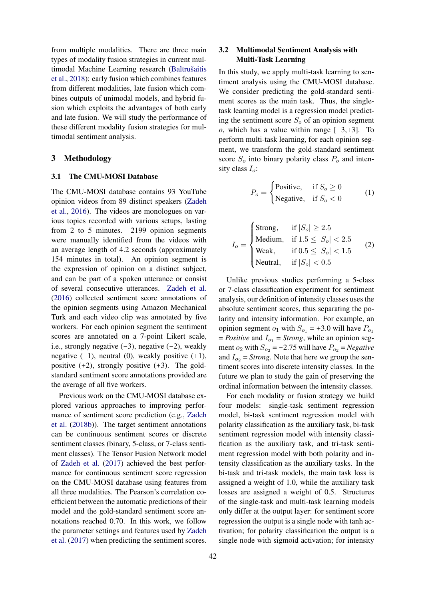from multiple modalities. There are three main types of modality fusion strategies in current multimodal Machine Learning research (Baltrušaitis [et al.,](#page-7-15) [2018\)](#page-7-15): early fusion which combines features from different modalities, late fusion which combines outputs of unimodal models, and hybrid fusion which exploits the advantages of both early and late fusion. We will study the performance of these different modality fusion strategies for multimodal sentiment analysis.

### 3 Methodology

#### 3.1 The CMU-MOSI Database

The CMU-MOSI database contains 93 YouTube opinion videos from 89 distinct speakers [\(Zadeh](#page-7-1) [et al.,](#page-7-1) [2016\)](#page-7-1). The videos are monologues on various topics recorded with various setups, lasting from 2 to 5 minutes. 2199 opinion segments were manually identified from the videos with an average length of 4.2 seconds (approximately 154 minutes in total). An opinion segment is the expression of opinion on a distinct subject, and can be part of a spoken utterance or consist of several consecutive utterances. [Zadeh et al.](#page-7-1) [\(2016\)](#page-7-1) collected sentiment score annotations of the opinion segments using Amazon Mechanical Turk and each video clip was annotated by five workers. For each opinion segment the sentiment scores are annotated on a 7-point Likert scale, i.e., strongly negative  $(-3)$ , negative  $(-2)$ , weakly negative  $(-1)$ , neutral  $(0)$ , weakly positive  $(+1)$ , positive  $(+2)$ , strongly positive  $(+3)$ . The goldstandard sentiment score annotations provided are the average of all five workers.

Previous work on the CMU-MOSI database explored various approaches to improving performance of sentiment score prediction (e.g., [Zadeh](#page-7-0) [et al.](#page-7-0) [\(2018b\)](#page-7-0)). The target sentiment annotations can be continuous sentiment scores or discrete sentiment classes (binary, 5-class, or 7-class sentiment classes). The Tensor Fusion Network model of [Zadeh et al.](#page-7-16) [\(2017\)](#page-7-16) achieved the best performance for continuous sentiment score regression on the CMU-MOSI database using features from all three modalities. The Pearson's correlation coefficient between the automatic predictions of their model and the gold-standard sentiment score annotations reached 0.70. In this work, we follow the parameter settings and features used by [Zadeh](#page-7-16) [et al.](#page-7-16) [\(2017\)](#page-7-16) when predicting the sentiment scores.

# 3.2 Multimodal Sentiment Analysis with Multi-Task Learning

In this study, we apply multi-task learning to sentiment analysis using the CMU-MOSI database. We consider predicting the gold-standard sentiment scores as the main task. Thus, the singletask learning model is a regression model predicting the sentiment score  $S<sub>o</sub>$  of an opinion segment *o*, which has a value within range  $[-3, +3]$ . To perform multi-task learning, for each opinion segment, we transform the gold-standard sentiment score  $S<sub>o</sub>$  into binary polarity class  $P<sub>o</sub>$  and intensity class  $I_0$ :

$$
P_o = \begin{cases} \text{Positive}, & \text{if } S_o \ge 0\\ \text{Negative}, & \text{if } S_o < 0 \end{cases} \tag{1}
$$

$$
I_o = \begin{cases} \text{Strong}, & \text{if } |S_o| \ge 2.5\\ \text{Median}, & \text{if } 1.5 \le |S_o| < 2.5\\ \text{Weak}, & \text{if } 0.5 \le |S_o| < 1.5\\ \text{Neutral}, & \text{if } |S_o| < 0.5 \end{cases} \tag{2}
$$

Unlike previous studies performing a 5-class or 7-class classification experiment for sentiment analysis, our definition of intensity classes uses the absolute sentiment scores, thus separating the polarity and intensity information. For example, an opinion segment  $o_1$  with  $S_{o_1} = +3.0$  will have  $P_{o_1}$  $=$  *Positive* and  $I_{o_1}$  = *Strong*, while an opinion segment  $o_2$  with  $S_{o_2} = -2.75$  will have  $P_{o_2} = Negative$ and  $I_{02}$  = *Strong*. Note that here we group the sentiment scores into discrete intensity classes. In the future we plan to study the gain of preserving the ordinal information between the intensity classes.

For each modality or fusion strategy we build four models: single-task sentiment regression model, bi-task sentiment regression model with polarity classification as the auxiliary task, bi-task sentiment regression model with intensity classification as the auxiliary task, and tri-task sentiment regression model with both polarity and intensity classification as the auxiliary tasks. In the bi-task and tri-task models, the main task loss is assigned a weight of 1.0, while the auxiliary task losses are assigned a weight of 0.5. Structures of the single-task and multi-task learning models only differ at the output layer: for sentiment score regression the output is a single node with tanh activation; for polarity classification the output is a single node with sigmoid activation; for intensity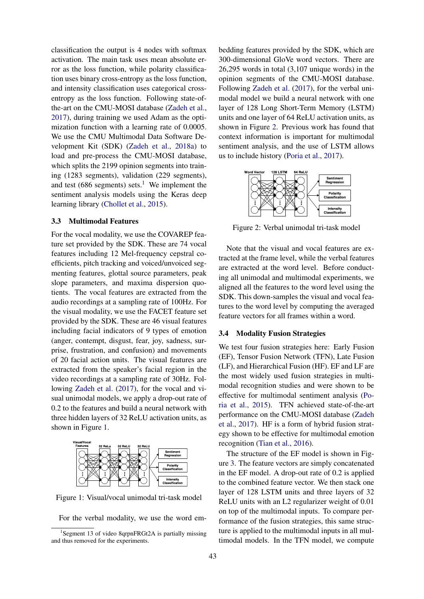classification the output is 4 nodes with softmax activation. The main task uses mean absolute error as the loss function, while polarity classification uses binary cross-entropy as the loss function, and intensity classification uses categorical crossentropy as the loss function. Following state-ofthe-art on the CMU-MOSI database [\(Zadeh et al.,](#page-7-16) [2017\)](#page-7-16), during training we used Adam as the optimization function with a learning rate of 0.0005. We use the CMU Multimodal Data Software Development Kit (SDK) [\(Zadeh et al.,](#page-7-5) [2018a\)](#page-7-5) to load and pre-process the CMU-MOSI database, which splits the 2199 opinion segments into training (1283 segments), validation (229 segments), and test (686 segments) sets.<sup>[1](#page-3-0)</sup> We implement the sentiment analysis models using the Keras deep learning library [\(Chollet et al.,](#page-7-17) [2015\)](#page-7-17).

#### 3.3 Multimodal Features

For the vocal modality, we use the COVAREP feature set provided by the SDK. These are 74 vocal features including 12 Mel-frequency cepstral coefficients, pitch tracking and voiced/unvoiced segmenting features, glottal source parameters, peak slope parameters, and maxima dispersion quotients. The vocal features are extracted from the audio recordings at a sampling rate of 100Hz. For the visual modality, we use the FACET feature set provided by the SDK. These are 46 visual features including facial indicators of 9 types of emotion (anger, contempt, disgust, fear, joy, sadness, surprise, frustration, and confusion) and movements of 20 facial action units. The visual features are extracted from the speaker's facial region in the video recordings at a sampling rate of 30Hz. Following [Zadeh et al.](#page-7-16) [\(2017\)](#page-7-16), for the vocal and visual unimodal models, we apply a drop-out rate of 0.2 to the features and build a neural network with three hidden layers of 32 ReLU activation units, as shown in Figure [1.](#page-3-1)

<span id="page-3-1"></span>

Figure 1: Visual/vocal unimodal tri-task model

For the verbal modality, we use the word em-

bedding features provided by the SDK, which are 300-dimensional GloVe word vectors. There are 26,295 words in total (3,107 unique words) in the opinion segments of the CMU-MOSI database. Following [Zadeh et al.](#page-7-16) [\(2017\)](#page-7-16), for the verbal unimodal model we build a neural network with one layer of 128 Long Short-Term Memory (LSTM) units and one layer of 64 ReLU activation units, as shown in Figure [2.](#page-3-2) Previous work has found that context information is important for multimodal sentiment analysis, and the use of LSTM allows us to include history [\(Poria et al.,](#page-7-18) [2017\)](#page-7-18).

<span id="page-3-2"></span>

Figure 2: Verbal unimodal tri-task model

Note that the visual and vocal features are extracted at the frame level, while the verbal features are extracted at the word level. Before conducting all unimodal and multimodal experiments, we aligned all the features to the word level using the SDK. This down-samples the visual and vocal features to the word level by computing the averaged feature vectors for all frames within a word.

### 3.4 Modality Fusion Strategies

We test four fusion strategies here: Early Fusion (EF), Tensor Fusion Network (TFN), Late Fusion (LF), and Hierarchical Fusion (HF). EF and LF are the most widely used fusion strategies in multimodal recognition studies and were shown to be effective for multimodal sentiment analysis [\(Po](#page-7-19)[ria et al.,](#page-7-19) [2015\)](#page-7-19). TFN achieved state-of-the-art performance on the CMU-MOSI database [\(Zadeh](#page-7-16) [et al.,](#page-7-16) [2017\)](#page-7-16). HF is a form of hybrid fusion strategy shown to be effective for multimodal emotion recognition [\(Tian et al.,](#page-7-20) [2016\)](#page-7-20).

The structure of the EF model is shown in Figure [3.](#page-4-0) The feature vectors are simply concatenated in the EF model. A drop-out rate of 0.2 is applied to the combined feature vector. We then stack one layer of 128 LSTM units and three layers of 32 ReLU units with an L2 regularizer weight of 0.01 on top of the multimodal inputs. To compare performance of the fusion strategies, this same structure is applied to the multimodal inputs in all multimodal models. In the TFN model, we compute

<span id="page-3-0"></span><sup>&</sup>lt;sup>1</sup>Segment 13 of video 8qrpnFRGt2A is partially missing and thus removed for the experiments.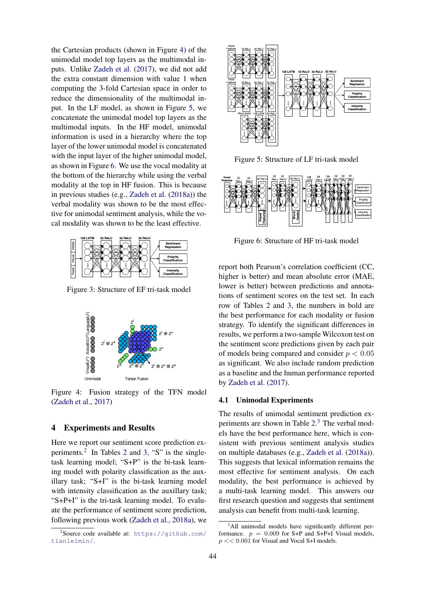the Cartesian products (shown in Figure [4\)](#page-4-1) of the unimodal model top layers as the multimodal inputs. Unlike [Zadeh et al.](#page-7-16) [\(2017\)](#page-7-16), we did not add the extra constant dimension with value 1 when computing the 3-fold Cartesian space in order to reduce the dimensionality of the multimodal input. In the LF model, as shown in Figure [5,](#page-4-2) we concatenate the unimodal model top layers as the multimodal inputs. In the HF model, unimodal information is used in a hierarchy where the top layer of the lower unimodal model is concatenated with the input layer of the higher unimodal model, as shown in Figure [6.](#page-4-3) We use the vocal modality at the bottom of the hierarchy while using the verbal modality at the top in HF fusion. This is because in previous studies (e.g., [Zadeh et al.](#page-7-5) [\(2018a\)](#page-7-5)) the verbal modality was shown to be the most effective for unimodal sentiment analysis, while the vocal modality was shown to be the least effective.

<span id="page-4-0"></span>

Figure 3: Structure of EF tri-task model

<span id="page-4-1"></span>

Figure 4: Fusion strategy of the TFN model [\(Zadeh et al.,](#page-7-16) [2017\)](#page-7-16)

## 4 Experiments and Results

Here we report our sentiment score prediction ex-periments.<sup>[2](#page-5-0)</sup> In Tables 2 and [3,](#page-6-0) "S" is the singletask learning model; "S+P" is the bi-task learning model with polarity classification as the auxillary task; "S+I" is the bi-task learning model with intensity classification as the auxillary task; "S+P+I" is the tri-task learning model. To evaluate the performance of sentiment score prediction, following previous work [\(Zadeh et al.,](#page-7-5) [2018a\)](#page-7-5), we

<span id="page-4-2"></span>

Figure 5: Structure of LF tri-task model

<span id="page-4-3"></span>

Figure 6: Structure of HF tri-task model

report both Pearson's correlation coefficient (CC, higher is better) and mean absolute error (MAE, lower is better) between predictions and annotations of sentiment scores on the test set. In each row of Tables [2](#page-5-0) and [3,](#page-6-0) the numbers in bold are the best performance for each modality or fusion strategy. To identify the significant differences in results, we perform a two-sample Wilcoxon test on the sentiment score predictions given by each pair of models being compared and consider  $p < 0.05$ as significant. We also include random prediction as a baseline and the human performance reported by [Zadeh et al.](#page-7-16) [\(2017\)](#page-7-16).

#### <span id="page-4-6"></span>4.1 Unimodal Experiments

The results of unimodal sentiment prediction ex-periments are shown in Table [2.](#page-5-0)<sup>[3](#page-4-5)</sup> The verbal models have the best performance here, which is consistent with previous sentiment analysis studies on multiple databases (e.g., [Zadeh et al.](#page-7-5) [\(2018a\)](#page-7-5)). This suggests that lexical information remains the most effective for sentiment analysis. On each modality, the best performance is achieved by a multi-task learning model. This answers our first research question and suggests that sentiment analysis can benefit from multi-task learning.

<span id="page-4-4"></span><sup>2</sup> Source code available at: [https://github.com/](https://github.com/tianleimin/) [tianleimin/](https://github.com/tianleimin/).

<span id="page-4-5"></span><sup>&</sup>lt;sup>3</sup>All unimodal models have significantly different performance.  $p = 0.009$  for S+P and S+P+I Visual models,  $p \ll 0.001$  for Visual and Vocal S+I models.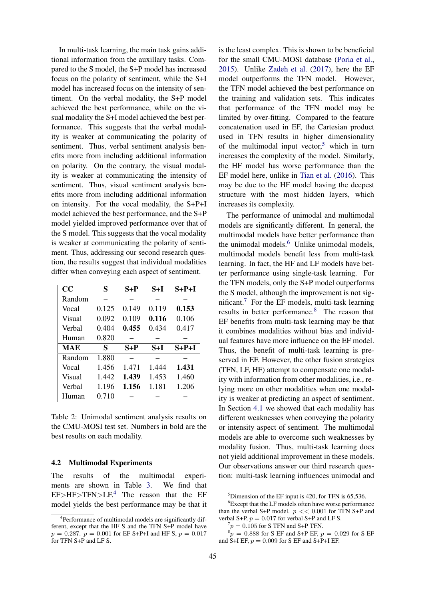In multi-task learning, the main task gains additional information from the auxillary tasks. Compared to the S model, the S+P model has increased focus on the polarity of sentiment, while the S+I model has increased focus on the intensity of sentiment. On the verbal modality, the S+P model achieved the best performance, while on the visual modality the S+I model achieved the best performance. This suggests that the verbal modality is weaker at communicating the polarity of sentiment. Thus, verbal sentiment analysis benefits more from including additional information on polarity. On the contrary, the visual modality is weaker at communicating the intensity of sentiment. Thus, visual sentiment analysis benefits more from including additional information on intensity. For the vocal modality, the S+P+I model achieved the best performance, and the S+P model yielded improved performance over that of the S model. This suggests that the vocal modality is weaker at communicating the polarity of sentiment. Thus, addressing our second research question, the results suggest that individual modalities differ when conveying each aspect of sentiment.

<span id="page-5-0"></span>

| $\bf CC$   | S     | $S+P$ | S+I   | $S+P+I$ |
|------------|-------|-------|-------|---------|
| Random     |       |       |       |         |
| Vocal      | 0.125 | 0.149 | 0.119 | 0.153   |
| Visual     | 0.092 | 0.109 | 0.116 | 0.106   |
| Verbal     | 0.404 | 0.455 | 0.434 | 0.417   |
| Human      | 0.820 |       |       |         |
| <b>MAE</b> | S     | $S+P$ | $S+I$ | $S+P+I$ |
| Random     | 1.880 |       |       |         |
| Vocal      | 1.456 | 1.471 | 1.444 | 1.431   |
| Visual     | 1.442 | 1.439 | 1.453 | 1.460   |
| Verbal     | 1.196 | 1.156 | 1.181 | 1.206   |
| Human      | 0.710 |       |       |         |

Table 2: Unimodal sentiment analysis results on the CMU-MOSI test set. Numbers in bold are the best results on each modality.

#### <span id="page-5-6"></span>4.2 Multimodal Experiments

The results of the multimodal experiments are shown in Table [3.](#page-6-0) We find that  $EF > HF > TFN > LF<sup>4</sup>$  $EF > HF > TFN > LF<sup>4</sup>$  $EF > HF > TFN > LF<sup>4</sup>$  The reason that the EF model yields the best performance may be that it

is the least complex. This is shown to be beneficial for the small CMU-MOSI database [\(Poria et al.,](#page-7-19) [2015\)](#page-7-19). Unlike [Zadeh et al.](#page-7-16) [\(2017\)](#page-7-16), here the EF model outperforms the TFN model. However, the TFN model achieved the best performance on the training and validation sets. This indicates that performance of the TFN model may be limited by over-fitting. Compared to the feature concatenation used in EF, the Cartesian product used in TFN results in higher dimensionality of the multimodal input vector,<sup>[5](#page-5-2)</sup> which in turn increases the complexity of the model. Similarly, the HF model has worse performance than the EF model here, unlike in [Tian et al.](#page-7-20) [\(2016\)](#page-7-20). This may be due to the HF model having the deepest structure with the most hidden layers, which increases its complexity.

The performance of unimodal and multimodal models are significantly different. In general, the multimodal models have better performance than the unimodal models. $<sup>6</sup>$  $<sup>6</sup>$  $<sup>6</sup>$  Unlike unimodal models,</sup> multimodal models benefit less from multi-task learning. In fact, the HF and LF models have better performance using single-task learning. For the TFN models, only the S+P model outperforms the S model, although the improvement is not sig-nificant.<sup>[7](#page-5-4)</sup> For the EF models, multi-task learning results in better performance.<sup>[8](#page-5-5)</sup> The reason that EF benefits from multi-task learning may be that it combines modalities without bias and individual features have more influence on the EF model. Thus, the benefit of multi-task learning is preserved in EF. However, the other fusion strategies (TFN, LF, HF) attempt to compensate one modality with information from other modalities, i.e., relying more on other modalities when one modality is weaker at predicting an aspect of sentiment. In Section [4.1](#page-4-6) we showed that each modality has different weaknesses when conveying the polarity or intensity aspect of sentiment. The multimodal models are able to overcome such weaknesses by modality fusion. Thus, multi-task learning does not yield additional improvement in these models. Our observations answer our third research question: multi-task learning influences unimodal and

<span id="page-5-1"></span><sup>&</sup>lt;sup>4</sup>Performance of multimodal models are significantly different, except that the HF S and the TFN S+P model have  $p = 0.287$ .  $p = 0.001$  for EF S+P+I and HF S,  $p = 0.017$ for TFN S+P and LF S.

<span id="page-5-3"></span><span id="page-5-2"></span> $5$ Dimension of the EF input is 420, for TFN is 65,536.

<sup>&</sup>lt;sup>6</sup>Except that the LF models often have worse performance than the verbal S+P model.  $p \ll 0.001$  for TFN S+P and verbal S+P,  $p = 0.017$  for verbal S+P and LF S.

<span id="page-5-5"></span><span id="page-5-4"></span> $^{7}p = 0.105$  for S TFN and S+P TFN.

 ${}^{8}p = 0.888$  for S EF and S+P EF,  $p = 0.029$  for S EF and S+I EF,  $p = 0.009$  for S EF and S+P+I EF.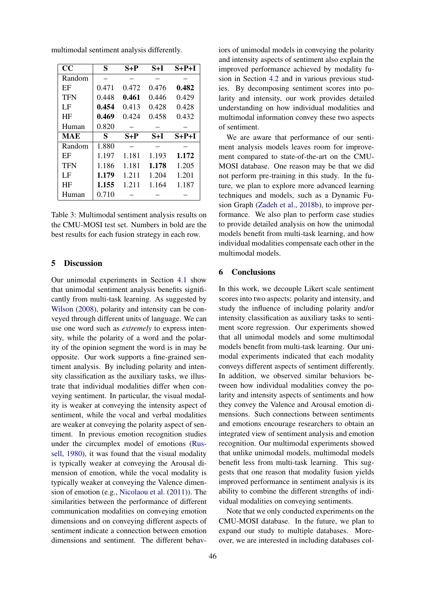multimodal sentiment analysis differently.

<span id="page-6-0"></span>

| $\bf CC$   | S     | $S+P$ | $S+I$ | $S+P+I$ |
|------------|-------|-------|-------|---------|
| Random     |       |       |       |         |
| EF         | 0.471 | 0.472 | 0.476 | 0.482   |
| <b>TFN</b> | 0.448 | 0.461 | 0.446 | 0.429   |
| LF         | 0.454 | 0.413 | 0.428 | 0.428   |
| HF         | 0.469 | 0.424 | 0.458 | 0.432   |
| Human      | 0.820 |       |       |         |
| <b>MAE</b> | S     | $S+P$ | $S+I$ | $S+P+I$ |
| Random     | 1.880 |       |       |         |
| EF         | 1.197 | 1.181 | 1.193 | 1.172   |
| <b>TFN</b> | 1.186 | 1.181 | 1.178 | 1.205   |
| LF         | 1.179 | 1.211 | 1.204 | 1.201   |
| HF         | 1.155 | 1.211 | 1.164 | 1.187   |
| Human      | 0.710 |       |       |         |

Table 3: Multimodal sentiment analysis results on the CMU-MOSI test set. Numbers in bold are the best results for each fusion strategy in each row.

## 5 Discussion

Our unimodal experiments in Section [4.1](#page-4-6) show that unimodal sentiment analysis benefits significantly from multi-task learning. As suggested by [Wilson](#page-7-21) [\(2008\)](#page-7-21), polarity and intensity can be conveyed through different units of language. We can use one word such as *extremely* to express intensity, while the polarity of a word and the polarity of the opinion segment the word is in may be opposite. Our work supports a fine-grained sentiment analysis. By including polarity and intensity classification as the auxiliary tasks, we illustrate that individual modalities differ when conveying sentiment. In particular, the visual modality is weaker at conveying the intensity aspect of sentiment, while the vocal and verbal modalities are weaker at conveying the polarity aspect of sentiment. In previous emotion recognition studies under the circumplex model of emotions [\(Rus](#page-7-10)[sell,](#page-7-10) [1980\)](#page-7-10), it was found that the visual modality is typically weaker at conveying the Arousal dimension of emotion, while the vocal modality is typically weaker at conveying the Valence dimension of emotion (e.g., [Nicolaou et al.](#page-7-22) [\(2011\)](#page-7-22)). The similarities between the performance of different communication modalities on conveying emotion dimensions and on conveying different aspects of sentiment indicate a connection between emotion dimensions and sentiment. The different behav-

iors of unimodal models in conveying the polarity and intensity aspects of sentiment also explain the improved performance achieved by modality fusion in Section [4.2](#page-5-6) and in various previous studies. By decomposing sentiment scores into polarity and intensity, our work provides detailed understanding on how individual modalities and multimodal information convey these two aspects of sentiment.

We are aware that performance of our sentiment analysis models leaves room for improvement compared to state-of-the-art on the CMU-MOSI database. One reason may be that we did not perform pre-training in this study. In the future, we plan to explore more advanced learning techniques and models, such as a Dynamic Fusion Graph [\(Zadeh et al.,](#page-7-0) [2018b\)](#page-7-0), to improve performance. We also plan to perform case studies to provide detailed analysis on how the unimodal models benefit from multi-task learning, and how individual modalities compensate each other in the multimodal models.

## 6 Conclusions

In this work, we decouple Likert scale sentiment scores into two aspects: polarity and intensity, and study the influence of including polarity and/or intensity classification as auxiliary tasks to sentiment score regression. Our experiments showed that all unimodal models and some multimodal models benefit from multi-task learning. Our unimodal experiments indicated that each modality conveys different aspects of sentiment differently. In addition, we observed similar behaviors between how individual modalities convey the polarity and intensity aspects of sentiments and how they convey the Valence and Arousal emotion dimensions. Such connections between sentiments and emotions encourage researchers to obtain an integrated view of sentiment analysis and emotion recognition. Our multimodal experiments showed that unlike unimodal models, multimodal models benefit less from multi-task learning. This suggests that one reason that modality fusion yields improved performance in sentiment analysis is its ability to combine the different strengths of individual modalities on conveying sentiments.

Note that we only conducted experiments on the CMU-MOSI database. In the future, we plan to expand our study to multiple databases. Moreover, we are interested in including databases col